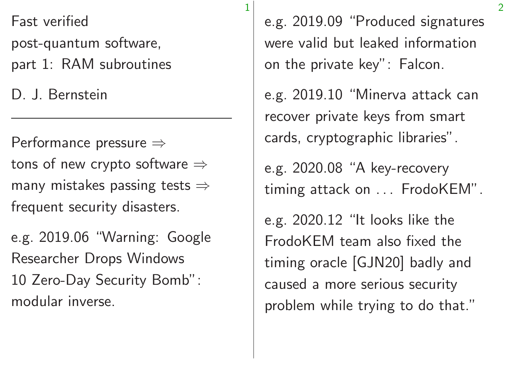Fast verified

post-quantum software,

part 1: RAM subroutines

D. J. Bernstein

Performance pressure  $\Rightarrow$ tons of new crypto software  $\Rightarrow$ many mistakes passing tests  $\Rightarrow$ frequent security disasters.

e.g. 2019.06 "Warning: Google Researcher Drops Windows 10 Zero-Day Security Bomb": modular inverse.

# e.g. 2019.09 "Produced signatures

- 
- 
- 
- 
- 
- 
- 
- -

were valid but leaked information on the private key": Falcon. e.g. 2019.10 "Minerva attack can recover private keys from smart cards, cryptographic libraries". e.g. 2020.08 "A key-recovery timing attack on ... FrodoKEM". e.g. 2020.12 "It looks like the FrodoKEM team also fixed the timing oracle [GJN20] badly and caused a more serious security problem while trying to do that."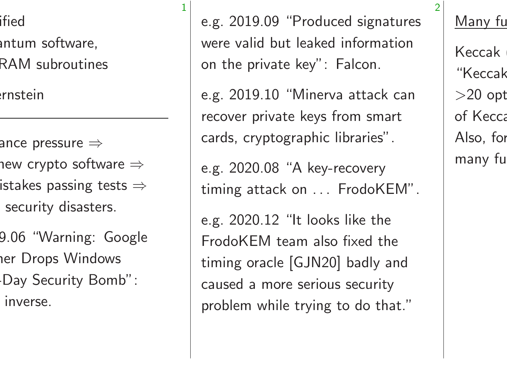### ified

antum software,

RAM subroutines

1

ernstein

ance pressure  $\Rightarrow$ 

 $new$  crypto software  $\Rightarrow$ 

istakes passing tests  $\Rightarrow$ security disasters.

9.06 "Warning: Google er Drops Windows

Day Security Bomb":

inverse.

e.g. 2020.08 "A key-recovery timing attack on ... FrodoKEM". 2

### Many fu

Keccak "Keccak  $>$ 20 opt of Kecca Also, for many fu

e.g. 2019.09 "Produced signatures were valid but leaked information on the private key": Falcon.

e.g. 2019.10 "Minerva attack can recover private keys from smart cards, cryptographic libraries".

e.g. 2020.12 "It looks like the FrodoKEM team also fixed the timing oracle [GJN20] badly and caused a more serious security problem while trying to do that."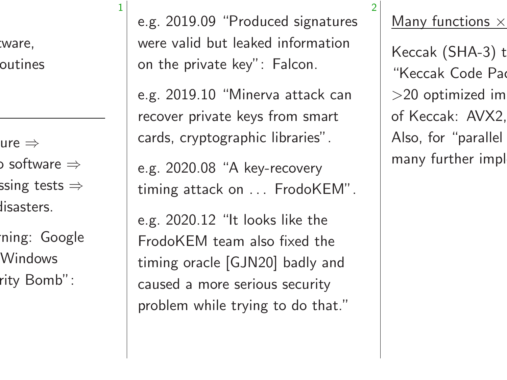ware, outines 1

 $ure \Rightarrow$ 

 $\circ$  software  $\Rightarrow$ 

ssing tests  $\Rightarrow$ lisasters.

ning: Google

Windows

rity Bomb":

e.g. 2020.08 "A key-recovery timing attack on ... FrodoKEM".

#### Many functions  $\times$

Keccak (SHA-3) t "Keccak Code Pac >20 optimized im of Keccak: AVX2, Also, for "parallel many further impl

e.g. 2019.09 "Produced signatures were valid but leaked information on the private key": Falcon.

e.g. 2019.10 "Minerva attack can recover private keys from smart cards, cryptographic libraries".

e.g. 2020.12 "It looks like the FrodoKEM team also fixed the timing oracle [GJN20] badly and caused a more serious security problem while trying to do that."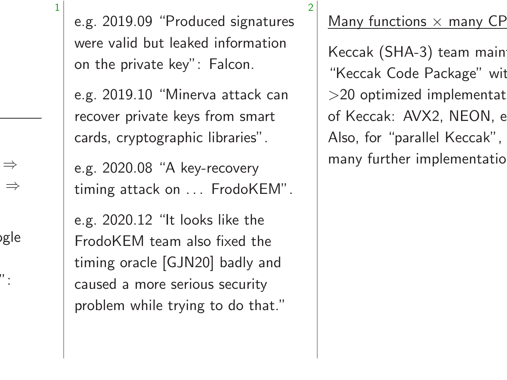e.g. 2020.08 "A key-recovery timing attack on ... FrodoKEM". 2

egle.

 $\Rightarrow$ 

 $\Rightarrow$ 

 $\frac{1}{2}$ 

#### Many functions  $\times$  many CP

### Keccak (SHA-3) team maint "Keccak Code Package" wit >20 optimized implementat of Keccak: AVX2, NEON, e Also, for "parallel Keccak", many further implementations.

e.g. 2019.09 "Produced signatures were valid but leaked information on the private key": Falcon.

e.g. 2019.10 "Minerva attack can recover private keys from smart cards, cryptographic libraries".

e.g. 2020.12 "It looks like the FrodoKEM team also fixed the timing oracle [GJN20] badly and caused a more serious security problem while trying to do that."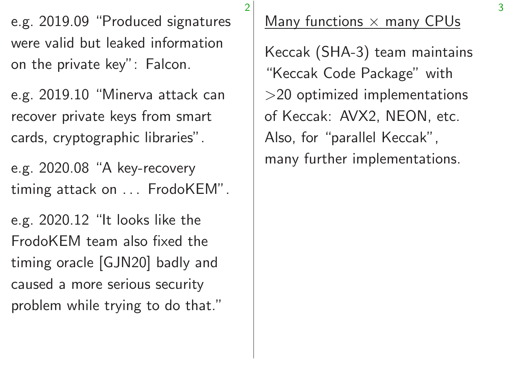Many functions  $\times$  many CPUs

e.g. 2019.09 "Produced signatures were valid but leaked information on the private key": Falcon.

e.g. 2020.08 "A key-recovery timing attack on ... FrodoKEM".

e.g. 2019.10 "Minerva attack can recover private keys from smart cards, cryptographic libraries".

e.g. 2020.12 "It looks like the FrodoKEM team also fixed the timing oracle [GJN20] badly and caused a more serious security problem while trying to do that."

Keccak (SHA-3) team maintains "Keccak Code Package" with *>*20 optimized implementations of Keccak: AVX2, NEON, etc. Also, for "parallel Keccak", many further implementations.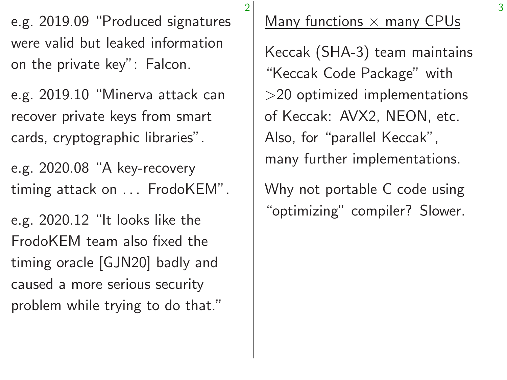Many functions  $\times$  many CPUs

e.g. 2019.09 "Produced signatures were valid but leaked information on the private key": Falcon.

e.g. 2020.08 "A key-recovery timing attack on ... FrodoKEM".

e.g. 2019.10 "Minerva attack can recover private keys from smart cards, cryptographic libraries".

e.g. 2020.12 "It looks like the FrodoKEM team also fixed the timing oracle [GJN20] badly and caused a more serious security problem while trying to do that."

Keccak (SHA-3) team maintains "Keccak Code Package" with *>*20 optimized implementations of Keccak: AVX2, NEON, etc. Also, for "parallel Keccak", many further implementations.

Why not portable C code using "optimizing" compiler? Slower.

- 
- 
-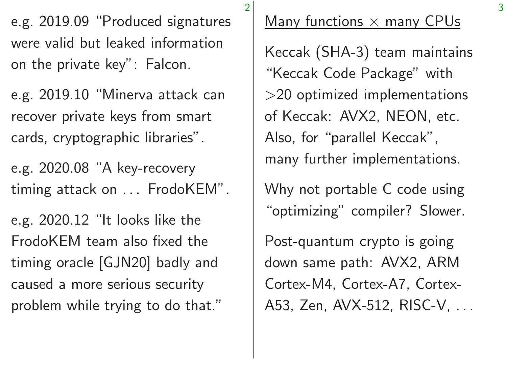Many functions  $\times$  many CPUs

e.g. 2019.09 "Produced signatures were valid but leaked information on the private key": Falcon.

e.g. 2020.08 "A key-recovery timing attack on ... FrodoKEM".

e.g. 2019.10 "Minerva attack can recover private keys from smart cards, cryptographic libraries".

e.g. 2020.12 "It looks like the FrodoKEM team also fixed the timing oracle [GJN20] badly and caused a more serious security problem while trying to do that." Why not portable C code using "optimizing" compiler? Slower. 3

- 
- 
- 
- 
- 
- 
- 

Keccak (SHA-3) team maintains "Keccak Code Package" with *>*20 optimized implementations of Keccak: AVX2, NEON, etc. Also, for "parallel Keccak", many further implementations.

Post-quantum crypto is going down same path: AVX2, ARM Cortex-M4, Cortex-A7, Cortex-A53, Zen, AVX-512, RISC-V, *: : :*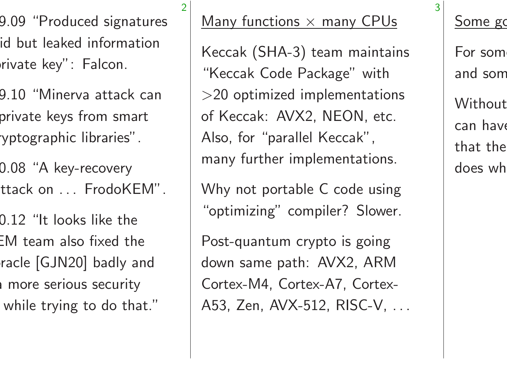9.09 "Produced signatures id but leaked information rivate key": Falcon.

9.10 "Minerva attack can private keys from smart yptographic libraries".

0.08 "A key-recovery ttack on  $\ldots$  FrodoKEM". 2

0.12 "It looks like the EM team also fixed the racle [GJN20] badly and more serious security while trying to do that." Many functions  $\times$  many CPUs

Why not portable C code using "optimizing" compiler? Slower. 3

Without can have that the does wh

Keccak (SHA-3) team maintains "Keccak Code Package" with *>*20 optimized implementations of Keccak: AVX2, NEON, etc. Also, for "parallel Keccak", many further implementations.

Post-quantum crypto is going down same path: AVX2, ARM Cortex-M4, Cortex-A7, Cortex-A53, Zen, AVX-512, RISC-V, *: : :*

Some go For som and som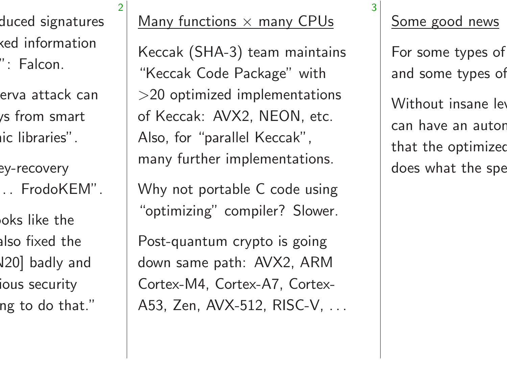duced signatures ked information

2

- $"$ : Falcon.
- erva attack can s from smart ic libraries".
- ey-recovery  $\ldots$  FrodoKEM".
- oks like the
- also fixed the
- 120] badly and
- ious security
- ng to do that."

### Many functions  $\times$  many CPUs

Why not portable C code using "optimizing" compiler? Slower.

Keccak (SHA-3) team maintains "Keccak Code Package" with *>*20 optimized implementations of Keccak: AVX2, NEON, etc. Also, for "parallel Keccak", many further implementations.

Post-quantum crypto is going down same path: AVX2, ARM Cortex-M4, Cortex-A7, Cortex-A53, Zen, AVX-512, RISC-V, *: : :*

#### Some good news

### For some types of and some types of

Without insane lev

can have an autor

that the optimized does what the spe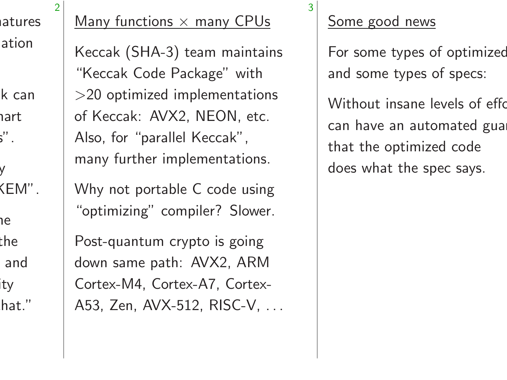atures ation

2

k can nart

 $\mathbf{s}^{\prime\prime}$  .

 $\overline{y}$ timing attack on *: : :* FrodoKEM".

1e

 $the$ 

and

ity

hat."

### Many functions  $\times$  many CPUs

Why not portable C code using "optimizing" compiler? Slower. 3

- For some types of optimized and some types of specs:
- Without insane levels of effor
- can have an automated guar
- that the optimized code
- does what the spec says.

Keccak (SHA-3) team maintains "Keccak Code Package" with *>*20 optimized implementations of Keccak: AVX2, NEON, etc. Also, for "parallel Keccak", many further implementations.

Post-quantum crypto is going down same path: AVX2, ARM Cortex-M4, Cortex-A7, Cortex-A53, Zen, AVX-512, RISC-V, *: : :*

### Some good news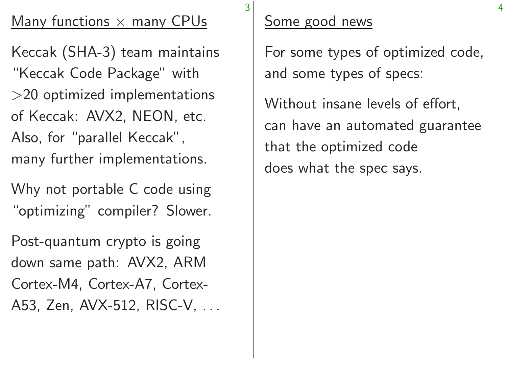#### Many functions  $\times$  many CPUs

Keccak (SHA-3) team maintains "Keccak Code Package" with *>*20 optimized implementations of Keccak: AVX2, NEON, etc. Also, for "parallel Keccak", many further implementations.

Why not portable C code using "optimizing" compiler? Slower.

Post-quantum crypto is going down same path: AVX2, ARM Cortex-M4, Cortex-A7, Cortex-A53, Zen, AVX-512, RISC-V, *: : :* 4

- 
- 
- 
- 

Some good news

# For some types of optimized code,

and some types of specs: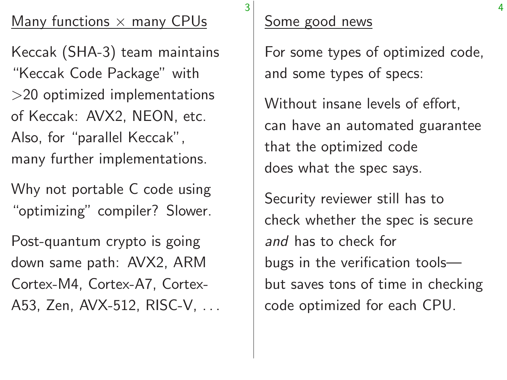#### Many functions  $\times$  many CPUs

Keccak (SHA-3) team maintains "Keccak Code Package" with *>*20 optimized implementations of Keccak: AVX2, NEON, etc. Also, for "parallel Keccak", many further implementations.

Why not portable C code using "optimizing" compiler? Slower.

Post-quantum crypto is going down same path: AVX2, ARM Cortex-M4, Cortex-A7, Cortex-A53, Zen, AVX-512, RISC-V, *: : :* 4

Some good news

# For some types of optimized code,

and some types of specs:

Without insane levels of effort, can have an automated guarantee that the optimized code does what the spec says.

Security reviewer still has to check whether the spec is secure and has to check for bugs in the verification tools code optimized for each CPU.

- 
- 
- 
- 
- 
- 
- 
- 
- but saves tons of time in checking
	-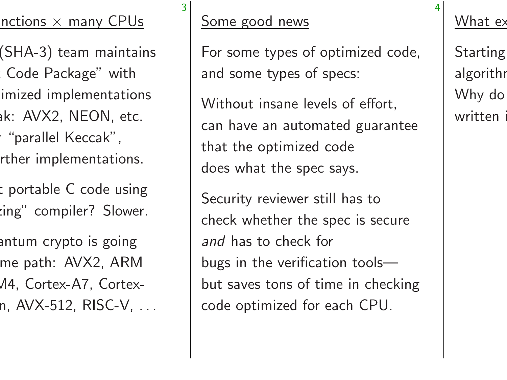#### $nctions \times many CPUs$

(SHA-3) team maintains Code Package" with imized implementations ak: AVX2, NEON, etc. ' "parallel Keccak",

rther implementations.

3

t portable C code using ing" compiler? Slower.

antum crypto is going me path: AVX2, ARM Cortex-M4, Cortex-A7, Cortexn, AVX-512, RISC-V, ... Security reviewer still has to check whether the spec is secure and has to check for bugs in the verification tools but saves tons of time in checking code optimized for each CPU.

### What ex

4

Starting algorithm Why do written i

#### Some good news

For some types of optimized code, and some types of specs: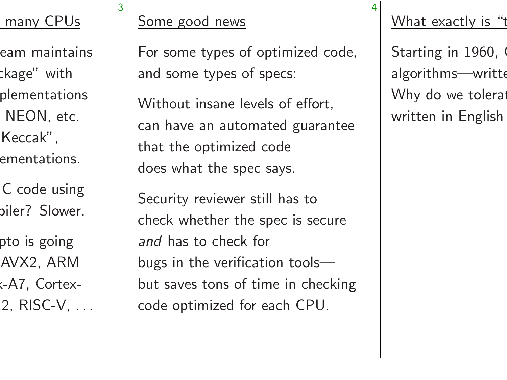### many CPUs

eam maintains ckage" with plementations NEON, etc.

Keccak", ementations. 3

C code using oiler? Slower.

pto is going AVX2, ARM  $\leftarrow$  A7, Cortex-2, RISC-V, . . . Security reviewer still has to check whether the spec is secure and has to check for bugs in the verification tools but saves tons of time in checking code optimized for each CPU.

#### What exactly is "the

### Starting in 1960, algorithms-writte Why do we tolerat written in English

### Some good news

For some types of optimized code, and some types of specs: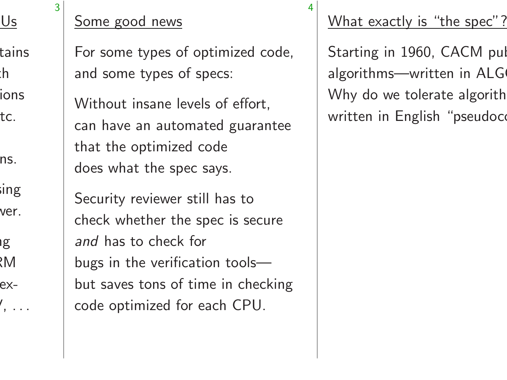### $Us$ </u>

3

tains : $h$ .<br><mark>ions</mark>

tc.

ns.

 $\mathop{\sf sing}$ ver.

 $\lg$  $2M$ 

ex-

, <u>. . .</u>

Security reviewer still has to check whether the spec is secure and has to check for bugs in the verification tools but saves tons of time in checking code optimized for each CPU.

### What exactly is "the spec"?

4

### Starting in 1960, CACM pul

#### algorithms-written in ALG

## Why do we tolerate algorith

### written in English "pseudoco

#### Some good news

For some types of optimized code, and some types of specs: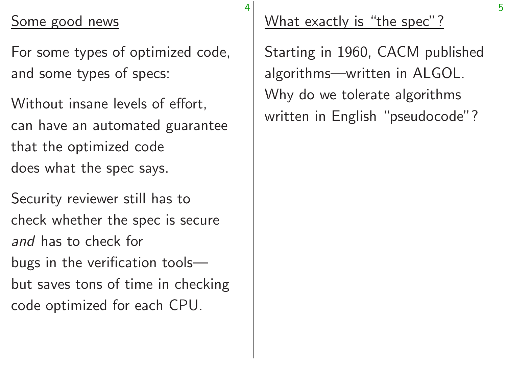#### Some good news

For some types of optimized code, and some types of specs:

Without insane levels of effort, can have an automated guarantee that the optimized code does what the spec says.

Security reviewer still has to check whether the spec is secure and has to check for bugs in the verification tools but saves tons of time in checking code optimized for each CPU.

### What exactly is "the spec"?

5

# Starting in 1960, CACM published

algorithms—written in ALGOL. Why do we tolerate algorithms written in English "pseudocode"?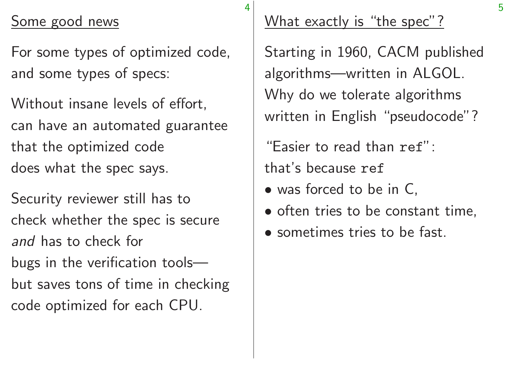#### Some good news

For some types of optimized code, and some types of specs:

Without insane levels of effort, can have an automated guarantee that the optimized code does what the spec says.

Security reviewer still has to check whether the spec is secure and has to check for bugs in the verification tools but saves tons of time in checking code optimized for each CPU.

### What exactly is "the spec"?

- was forced to be in C,
- often tries to be constant time,
- sometimes tries to be fast.

## Starting in 1960, CACM published

- 
- 
- 
- 

algorithms—written in ALGOL. Why do we tolerate algorithms written in English "pseudocode"?

"Easier to read than ref": that's because ref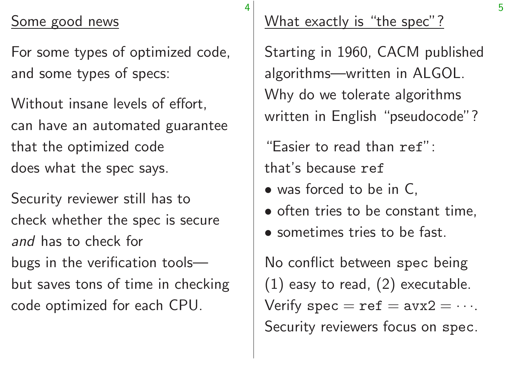#### Some good news

For some types of optimized code, and some types of specs:

Without insane levels of effort, can have an automated guarantee that the optimized code does what the spec says.

Security reviewer still has to check whether the spec is secure and has to check for bugs in the verification tools but saves tons of time in checking code optimized for each CPU.

### What exactly is "the spec"?

# Starting in 1960, CACM published

- 
- 
- 
- 

- 
- 
- 
- 

algorithms—written in ALGOL. Why do we tolerate algorithms written in English "pseudocode"?

"Easier to read than ref": that's because ref

- was forced to be in C,
- often tries to be constant time,
- sometimes tries to be fast.

No conflict between spec being (1) easy to read, (2) executable. Verify  $spec = ref = avx2 = \cdots$ . Security reviewers focus on spec.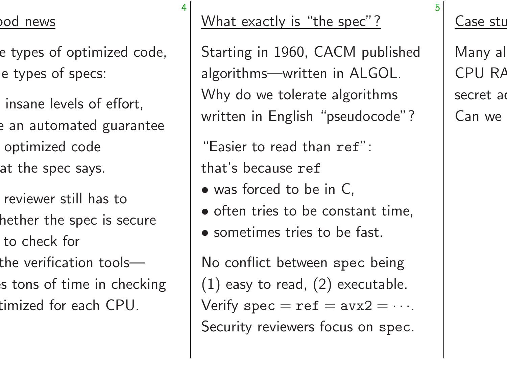#### od news

e types of optimized code, e types of specs:

insane levels of effort, e an automated guarantee optimized code at the spec says.

4

reviewer still has to hether the spec is secure to check for the verification tools is tons of time in checking timized for each CPU.

What exactly is "the spec"?

- was forced to be in C,
- often tries to be constant time,
- sometimes tries to be fast.

5

Many al CPU RA secret ad Can we

Starting in 1960, CACM published algorithms—written in ALGOL. Why do we tolerate algorithms written in English "pseudocode"?

"Easier to read than ref": that's because ref

No conflict between spec being (1) easy to read, (2) executable. Verify  $spec = ref = avx2 = \cdots$ . Security reviewers focus on spec.

#### Case stu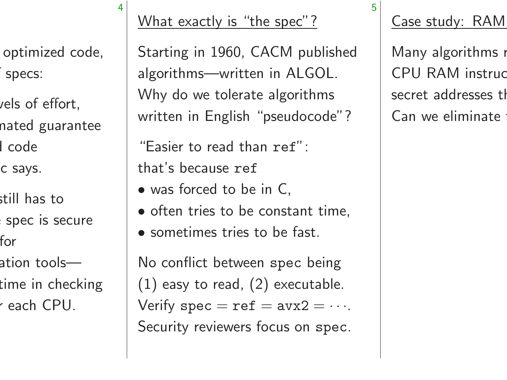optimized code, specs:

4

- rels of effort,
- nated guarantee
- l code
- c says.
- still has to
- spec is secure
- for
	- ation tools—
	- time in checking
	- $\epsilon$  each CPU.

What exactly is "the spec"?

- was forced to be in C,
- often tries to be constant time,
- sometimes tries to be fast.

5

### Many algorithms re CPU RAM instruc secret addresses th Can we eliminate

Starting in 1960, CACM published algorithms—written in ALGOL. Why do we tolerate algorithms written in English "pseudocode"?

"Easier to read than ref": that's because ref

No conflict between spec being (1) easy to read, (2) executable. Verify  $spec = ref = avx2 = \cdots$ . Security reviewers focus on spec.

#### Case study: RAM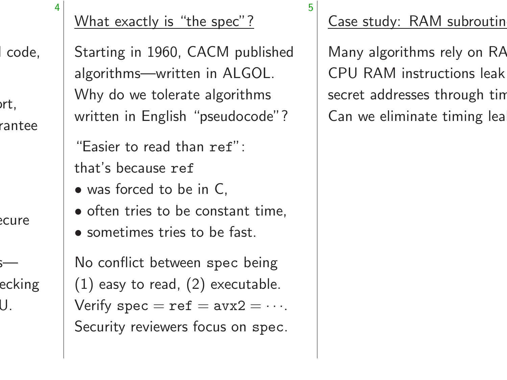code,

4

rt, rantee

ecure

 $\delta$  in the verifies  $\delta$ ecking  $\bigcup$  .

What exactly is "the spec"?

- was forced to be in C,
- often tries to be constant time,
- sometimes tries to be fast.

5

Many algorithms rely on RA CPU RAM instructions leak secret addresses through tim Can we eliminate timing lea

#### Case study: RAM subroutin

Starting in 1960, CACM published algorithms—written in ALGOL. Why do we tolerate algorithms written in English "pseudocode"?

"Easier to read than ref": that's because ref

No conflict between spec being (1) easy to read, (2) executable. Verify  $spec = ref = avx2 = \cdots$ . Security reviewers focus on spec.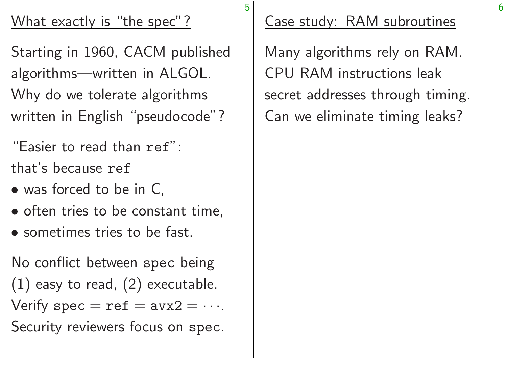#### What exactly is "the spec"?

Starting in 1960, CACM published algorithms—written in ALGOL. Why do we tolerate algorithms written in English "pseudocode"?

- was forced to be in C,
- often tries to be constant time,
- sometimes tries to be fast.

"Easier to read than ref": that's because ref

No conflict between spec being (1) easy to read, (2) executable. Verify  $spec = ref = avx2 = \cdots$ . Security reviewers focus on spec.

#### Case study: RAM subroutines

Many algorithms rely on RAM. CPU RAM instructions leak secret addresses through timing. Can we eliminate timing leaks?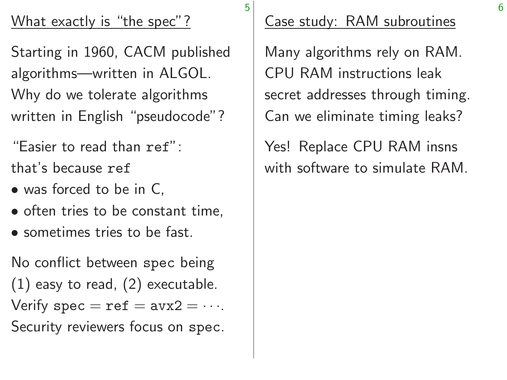#### What exactly is "the spec"?

Starting in 1960, CACM published algorithms—written in ALGOL. Why do we tolerate algorithms written in English "pseudocode"?

- was forced to be in C,
- often tries to be constant time,
- sometimes tries to be fast.

"Easier to read than ref": that's because ref

No conflict between spec being (1) easy to read, (2) executable. Verify  $spec = ref = avx2 = \cdots$ . Security reviewers focus on spec.

Case study: RAM subroutines

Many algorithms rely on RAM. CPU RAM instructions leak secret addresses through timing. Can we eliminate timing leaks?

Yes! Replace CPU RAM insns with software to simulate RAM.

- 
- 
-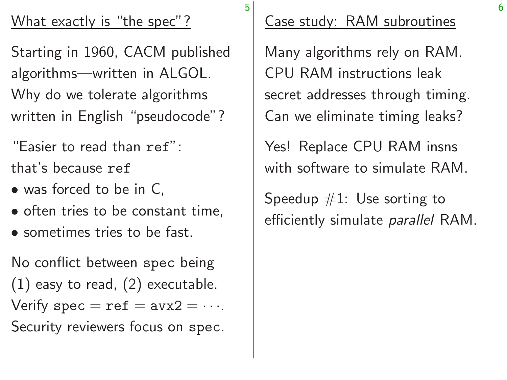#### What exactly is "the spec"?

Starting in 1960, CACM published algorithms—written in ALGOL. Why do we tolerate algorithms written in English "pseudocode"?

- was forced to be in C,
- often tries to be constant time,
- sometimes tries to be fast.

"Easier to read than ref": that's because ref

No conflict between spec being (1) easy to read, (2) executable. Verify  $spec = ref = avx2 = \cdots$ . Security reviewers focus on spec.

Case study: RAM subroutines

Many algorithms rely on RAM. CPU RAM instructions leak secret addresses through timing. Can we eliminate timing leaks?

Yes! Replace CPU RAM insns with software to simulate RAM.

Speedup  $\#1$ : Use sorting to efficiently simulate *parallel* RAM.

- 
- 
- 
- 
-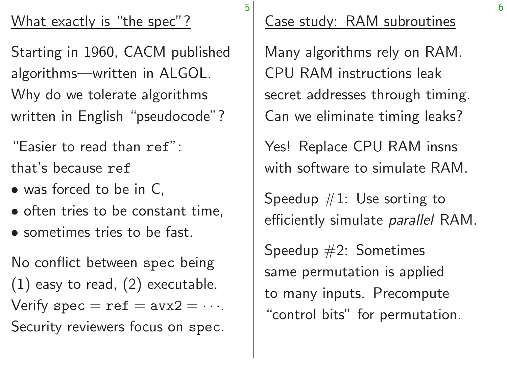#### What exactly is "the spec"?

Starting in 1960, CACM published algorithms—written in ALGOL. Why do we tolerate algorithms written in English "pseudocode"?

- was forced to be in C,
- often tries to be constant time,
- sometimes tries to be fast.

"Easier to read than ref": that's because ref

> Speedup  $#1$ : Use sorting to efficiently simulate parallel RAM.

No conflict between spec being (1) easy to read, (2) executable. Verify  $spec = ref = avx2 = \cdots$ . Security reviewers focus on spec.

Speedup  $#2$ : Sometimes same permutation is applied to many inputs. Precompute "control bits" for permutation.

- 
- 
- 
- 
- 
- 
- 
- 
- 
- 
- 

Case study: RAM subroutines

Many algorithms rely on RAM. CPU RAM instructions leak secret addresses through timing. Can we eliminate timing leaks?

Yes! Replace CPU RAM insns with software to simulate RAM.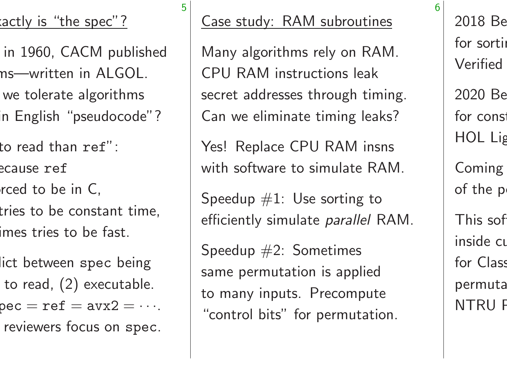#### actly is "the spec"?

in 1960, CACM published ns—written in ALGOL. we tolerate algorithms in English "pseudocode"?

to read than  $ref$ ":

5

 $ecause$   $ref$ 

rced to be in  $C$ ,

tries to be constant time, imes tries to be fast.

lict between spec being to read,  $(2)$  executable.  $\mathtt{pec} = \mathtt{ref} = \mathtt{avx2} = \cdots$ . reviewers focus on spec.

Speedup  $#2$ : Sometimes same permutation is applied to many inputs. Precompute "control bits" for permutation.

6

2018 Be for sortin Verified 2020 Be for const HOL Lig Coming of the  $p$ This soft inside cu for Class permuta **NTRU F** 

#### Case study: RAM subroutines

Many algorithms rely on RAM. CPU RAM instructions leak secret addresses through timing. Can we eliminate timing leaks?

Yes! Replace CPU RAM insns with software to simulate RAM.

Speedup  $#1$ : Use sorting to efficiently simulate *parallel* RAM.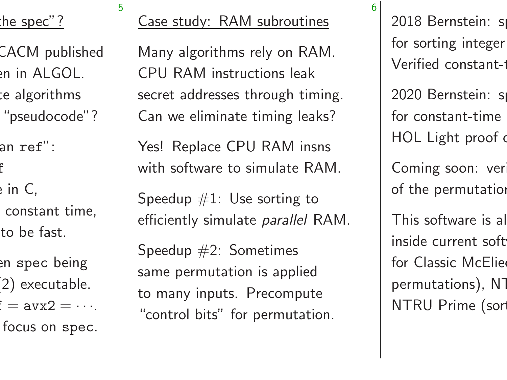### he spec"?

CACM published en in ALGOL. te algorithms "pseudocode"?

5

an  $\operatorname{ref}''$  :

 $\int$ 

 $e$  in  $C$ ,

constant time, to be fast.

en spec being (2) executable.

 $\dot{\mathbf{z}} = \text{avx2} = \cdots$ .

focus on spec.

Speedup  $\#1$ : Use sorting to efficiently simulate parallel RAM.

Speedup  $#2$ : Sometimes same permutation is applied to many inputs. Precompute "control bits" for permutation.

### 2018 Bernstein: sp for sorting integer Verified constant-t 2020 Bernstein: sp for constant-time HOL Light proof of Coming soon: ver of the permutation This software is al inside current soft for Classic McEliee permutations), NT NTRU Prime (sort

### Case study: RAM subroutines

Many algorithms rely on RAM. CPU RAM instructions leak secret addresses through timing. Can we eliminate timing leaks?

Yes! Replace CPU RAM insns with software to simulate RAM.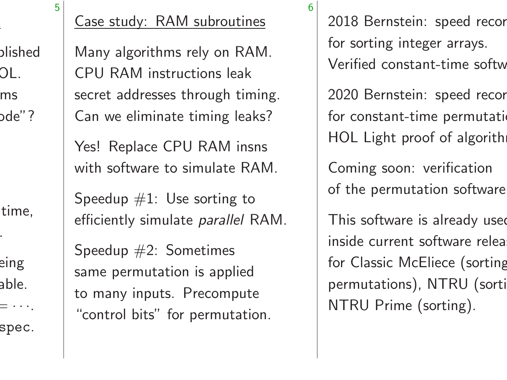blished OL.

what exactly is "the spectrum".

5

 $ms$ de"?

time,

eing able.

 $=$   $\cdots$ .

spec.

• sometimes tries to be fast.

Speedup  $#2$ : Sometimes same permutation is applied to many inputs. Precompute "control bits" for permutation.

6

### Case study: RAM subroutines

Many algorithms rely on RAM. CPU RAM instructions leak secret addresses through timing. Can we eliminate timing leaks? Yes! Replace CPU RAM insns with software to simulate RAM.

Speedup  $\#1$ : Use sorting to efficiently simulate *parallel* RAM.

- 2018 Bernstein: speed record
- for sorting integer arrays.
- Verified constant-time softw
- 
- 2020 Bernstein: speed record
- for constant-time permutation
- HOL Light proof of algorith
- Coming soon: verification
- of the permutation software.
- This software is already used inside current software relea
- for Classic McEliece (sorting permutations), NTRU (sorti
- NTRU Prime (sorting).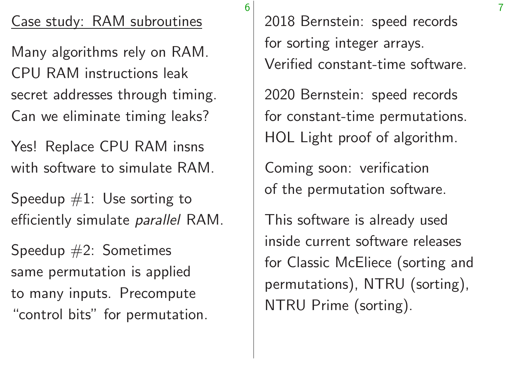#### Case study: RAM subroutines

Many algorithms rely on RAM. CPU RAM instructions leak secret addresses through timing. Can we eliminate timing leaks?

Speedup  $\#1$ : Use sorting to efficiently simulate parallel RAM.

Yes! Replace CPU RAM insns with software to simulate RAM.

Speedup  $#2$ : Sometimes same permutation is applied to many inputs. Precompute "control bits" for permutation. 7

- 
- 
- 
- 
- 
- 
- 
- 

2018 Bernstein: speed records for sorting integer arrays. Verified constant-time software. 2020 Bernstein: speed records for constant-time permutations. HOL Light proof of algorithm. Coming soon: verification of the permutation software.

This software is already used inside current software releases for Classic McEliece (sorting and permutations), NTRU (sorting), NTRU Prime (sorting).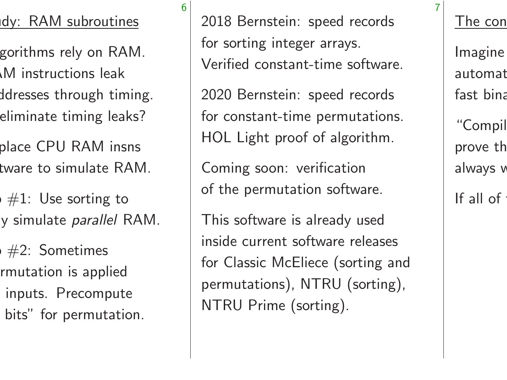### dy: RAM subroutines

6

gorithms rely on RAM. M instructions leak ddresses through timing. eliminate timing leaks?

place CPU RAM insns tware to simulate RAM.

 $\theta$   $\#1$ : Use sorting to y simulate parallel RAM.

 $+2$ : Sometimes rmutation is applied inputs. Precompute

bits" for permutation.

7

Imagine automat fast bina

"Compil prove th always v

If all of  $\overline{f}$ 

2018 Bernstein: speed records for sorting integer arrays. Verified constant-time software.

2020 Bernstein: speed records for constant-time permutations. HOL Light proof of algorithm.

Coming soon: verification of the permutation software.

This software is already used inside current software releases for Classic McEliece (sorting and permutations), NTRU (sorting), NTRU Prime (sorting).

### The con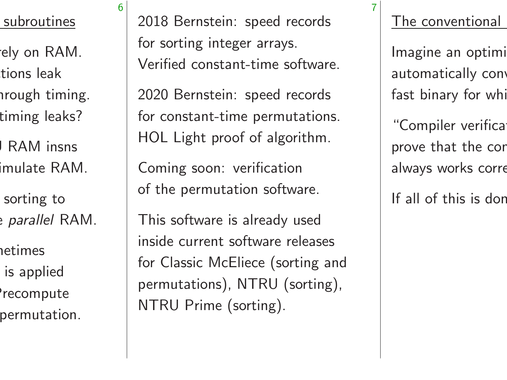#### subroutines

6

ely on RAM. tions leak irough timing. timing leaks?

RAM insns imulate RAM.

sorting to e parallel RAM.

netimes

is applied

'recompute

permutation.

7

### Imagine an optimi automatically conv fast binary for whi

### "Compiler verification" prove that the cor always works corre

### If all of this is don

2018 Bernstein: speed records for sorting integer arrays. Verified constant-time software.

2020 Bernstein: speed records for constant-time permutations. HOL Light proof of algorithm.

Coming soon: verification of the permutation software.

This software is already used inside current software releases for Classic McEliece (sorting and permutations), NTRU (sorting), NTRU Prime (sorting).

#### The conventional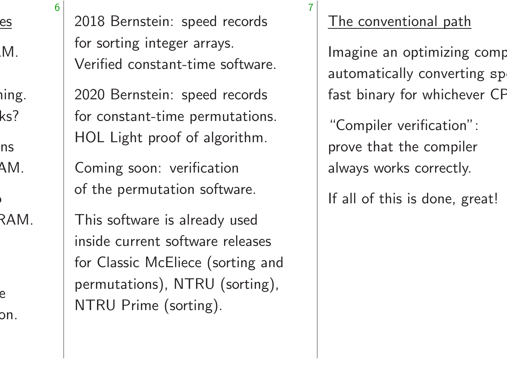|--|

 $M<sub>1</sub>$ 

ing. ks?

ns AM.

 $\overline{\phantom{a}}$ RAM.

e on. 7

- Imagine an optimizing comp automatically converting sp
- fast binary for whichever CP
- "Compiler verification":
- prove that the compiler
- always works correctly.
- If all of this is done, great!

2018 Bernstein: speed records for sorting integer arrays. Verified constant-time software. 2020 Bernstein: speed records for constant-time permutations. HOL Light proof of algorithm. Coming soon: verification of the permutation software. This software is already used inside current software releases for Classic McEliece (sorting and permutations), NTRU (sorting), NTRU Prime (sorting).

#### The conventional path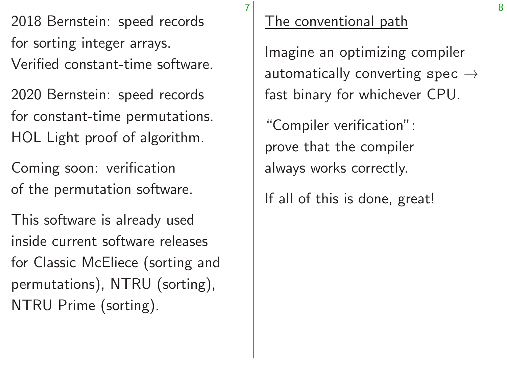2018 Bernstein: speed records for sorting integer arrays. Verified constant-time software.

2020 Bernstein: speed records for constant-time permutations. HOL Light proof of algorithm.

Coming soon: verification of the permutation software.

This software is already used inside current software releases for Classic McEliece (sorting and permutations), NTRU (sorting), NTRU Prime (sorting).

### The conventional path

Imagine an optimizing compiler automatically converting spec  $\rightarrow$ fast binary for whichever CPU.

"Compiler verification": prove that the compiler always works correctly.

If all of this is done, great!

- 
- 
- 
- 
-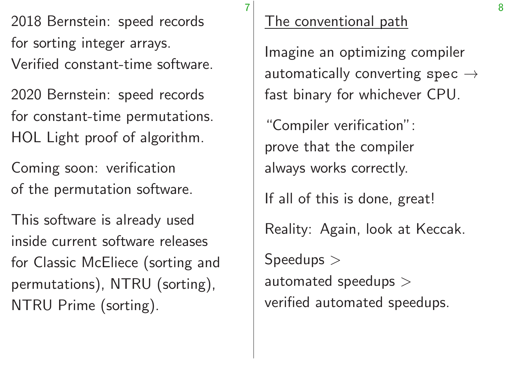2018 Bernstein: speed records for sorting integer arrays. Verified constant-time software.

2020 Bernstein: speed records for constant-time permutations. HOL Light proof of algorithm.

Coming soon: verification of the permutation software.

This software is already used inside current software releases for Classic McEliece (sorting and permutations), NTRU (sorting), NTRU Prime (sorting).

### The conventional path

Imagine an optimizing compiler automatically converting spec  $\rightarrow$ fast binary for whichever CPU.

"Compiler verification": prove that the compiler always works correctly.

If all of this is done, great!

Reality: Again, look at Keccak.

Speedups *>* automated speedups *>* verified automated speedups.

- 
- 
- 
- 
- 
- 
- 
-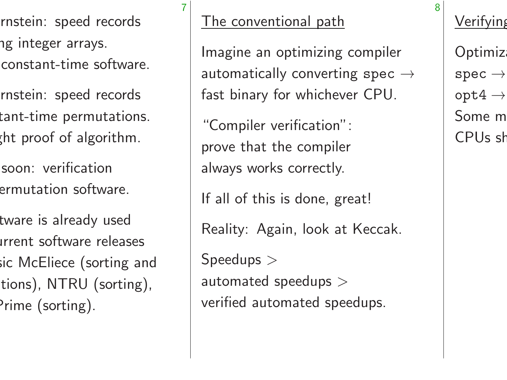rnstein: speed records ng integer arrays.

constant-time software.

rnstein: speed records tant-time permutations. sht proof of algorithm.

7

soon: verification ermutation software.

tware is already used irrent software releases ic McEliece (sorting and tions), NTRU (sorting), Prime (sorting).

8

### Optimiz.

 $spec \rightarrow$ 

#### $opt4 \rightarrow$ Some m

CPUs sh

#### The conventional path

Imagine an optimizing compiler automatically converting spec  $\rightarrow$ fast binary for whichever CPU.

"Compiler verification": prove that the compiler always works correctly.

If all of this is done, great!

Reality: Again, look at Keccak.

Speedups *>* automated speedups *>* verified automated speedups.

### Verifying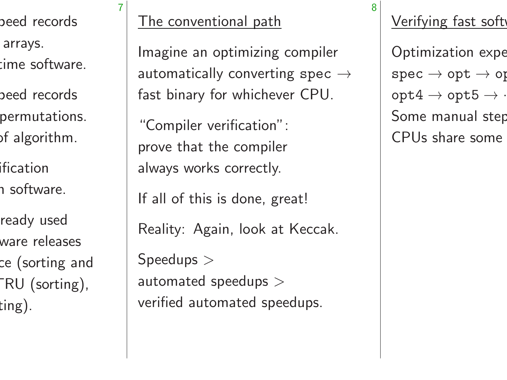2018 bernsteinsteinsteurparten: speed records

7

- arrays.
- ime software.
- 2020 bernsteins permutations.
- of algorithm.
- ification
- n software.
- ready used ware releases ce (sorting and TRU (sorting), ting).

### The conventional path

### Verifying fast soft

### Optimization expe

 $\texttt{spec}\rightarrow\texttt{opt}\rightarrow\texttt{opt}$ 

 $opt4 \rightarrow opt5 \rightarrow \cdot$ 

Some manual step

CPUs share some

Imagine an optimizing compiler automatically converting spec  $\rightarrow$ fast binary for whichever CPU.

"Compiler verification": prove that the compiler always works correctly.

If all of this is done, great!

Reality: Again, look at Keccak.

Speedups *>* automated speedups *>* verified automated speedups.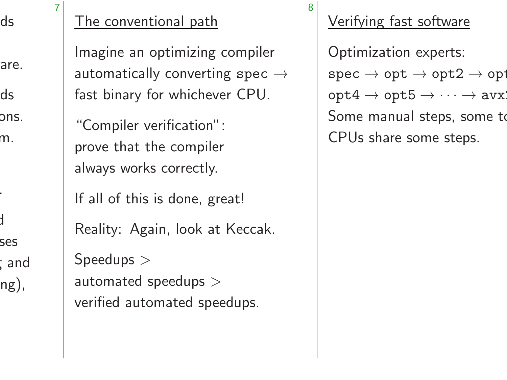|  | <b>I</b> ds |
|--|-------------|
|--|-------------|

are.

 $ds$  $\overline{\text{ons.}}$ 

 $m$  .

of the permutation software.

 $\mathsf{I}$ ses ; and ng),

The conventional path

8

#### Some manual steps, some to CPUs share some steps.

Imagine an optimizing compiler automatically converting spec  $\rightarrow$ fast binary for whichever CPU.

"Compiler verification": prove that the compiler always works correctly.

If all of this is done, great!

Reality: Again, look at Keccak.

Speedups *>* automated speedups *>* verified automated speedups.

#### Verifying fast software

#### Optimization experts:

#### $spec \rightarrow opt \rightarrow opt2 \rightarrow opt$

 $opt4 \rightarrow opt5 \rightarrow \cdots \rightarrow avx2$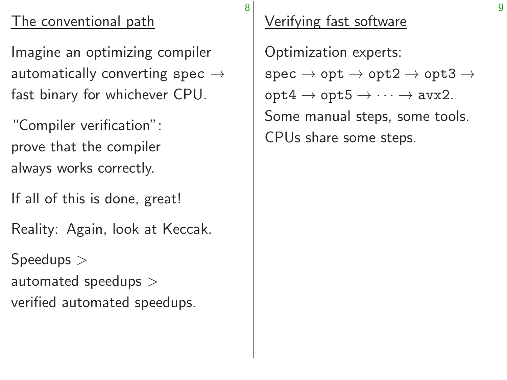#### The conventional path

Imagine an optimizing compiler automatically converting spec  $\rightarrow$ fast binary for whichever CPU.

"Compiler verification": prove that the compiler always works correctly.

If all of this is done, great!

Reality: Again, look at Keccak.

Speedups *>* automated speedups *>* verified automated speedups. Verifying fast software

Optimization experts:  $\texttt{spec}\rightarrow\texttt{opt}\rightarrow\texttt{opt2}\rightarrow\texttt{opt3}\rightarrow$  $opt4 \rightarrow opt5 \rightarrow \cdots \rightarrow avx2.$ Some manual steps, some tools. CPUs share some steps.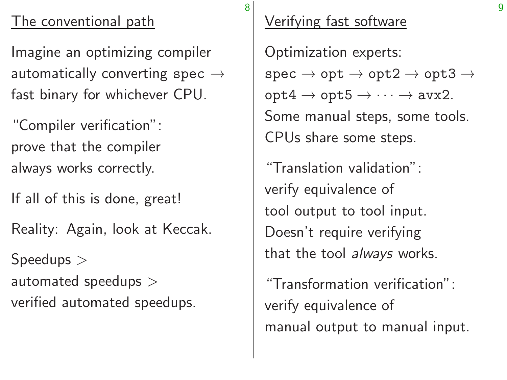#### The conventional path

Imagine an optimizing compiler automatically converting spec  $\rightarrow$ fast binary for whichever CPU.

"Compiler verification": prove that the compiler always works correctly.

If all of this is done, great!

"Translation validation": verify equivalence of tool output to tool input. Doesn't require verifying that the tool always works.

Reality: Again, look at Keccak.

Speedups *>* automated speedups *>* verified automated speedups. Verifying fast software

Optimization experts:  $spec \rightarrow opt \rightarrow opt2 \rightarrow opt3 \rightarrow$  $opt4 \rightarrow opt5 \rightarrow \cdots \rightarrow avx2.$ Some manual steps, some tools. CPUs share some steps.

"Transformation verification": verify equivalence of manual output to manual input.

- 
- 
- 
- 
- 
- 
- 
- 
- 
- 
- 
- 
-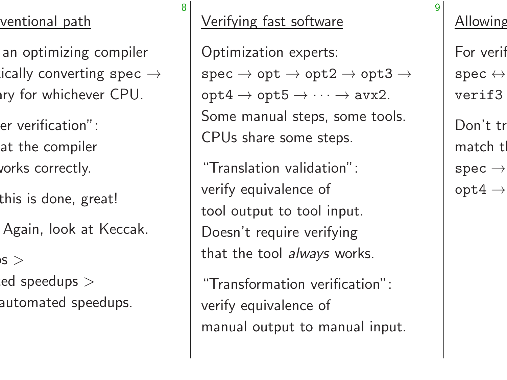#### ventional path

an optimizing compiler ically converting spec  $\rightarrow$ ary for whichever CPU.

er verification": at the compiler vorks correctly.

8

this is done, great!

Again, look at Keccak.

 $|S|>$ 

ed speedups  $>$ 

automated speedups.

"Translation validation": verify equivalence of tool output to tool input. Doesn't require verifying that the tool always works. 9

Verifying fast software

Optimization experts:  $spec \rightarrow opt \rightarrow opt2 \rightarrow opt3 \rightarrow$  $opt4 \rightarrow opt5 \rightarrow \cdots \rightarrow avx2.$ Some manual steps, some tools. CPUs share some steps.

"Transformation verification": verify equivalence of manual output to manual input.

Allowing For verif  $spec \leftrightarrow$ verif3 Don't tr match th  $spec \rightarrow$  $opt4 \rightarrow$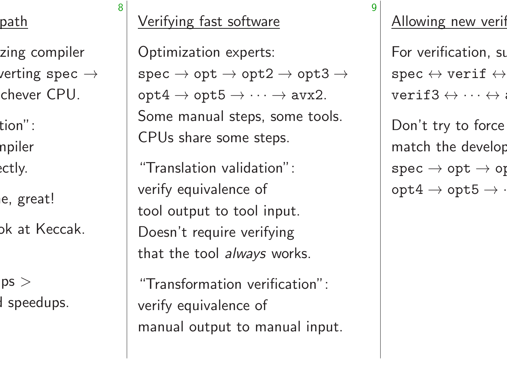#### path

zing compiler verting spec  $\rightarrow$ chever CPU.

8

tion":

npiler

 $ectly.$ 

e, great!

ok at Keccak.

 $ps >$ l speedups.

"Translation validation": verify equivalence of tool output to tool input. Doesn't require verifying that the tool always works. 9

For verification, su  $spec \leftrightarrow verif \leftrightarrow$  $verif3 \leftrightarrow \cdots \leftrightarrow x$ 

Don't try to force match the develop  $spec \rightarrow opt \rightarrow opt$  $opt4 \rightarrow opt5 \rightarrow \cdot$ 

### Verifying fast software

Optimization experts:  $spec \rightarrow opt \rightarrow opt2 \rightarrow opt3 \rightarrow$  $opt4 \rightarrow opt5 \rightarrow \cdots \rightarrow avx2.$ Some manual steps, some tools. CPUs share some steps.

"Transformation verification": verify equivalence of manual output to manual input.

#### Allowing new verif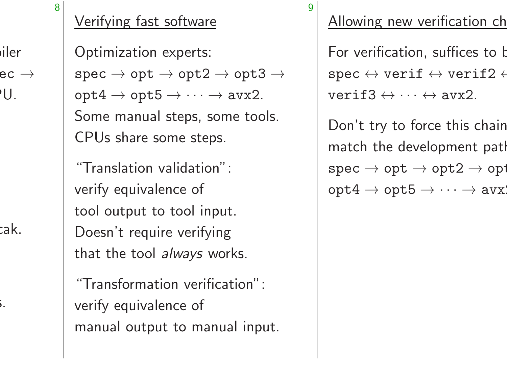| iler                                              |
|---------------------------------------------------|
| $\rightarrow$<br>ec                               |
| $\blacktriangle$ l $\blacktriangle$<br><b>J</b> . |

```
ak.
```
 $\sum_{i=1}^{n}$ 

9

#### Allowing new verification ch

- For verification, suffices to b
- $spec \leftrightarrow verif \leftrightarrow verif2 \leftrightarrow$
- $verif3 \leftrightarrow \cdots \leftrightarrow avx2.$
- Don't try to force this chain match the development path  $spec \rightarrow opt \rightarrow opt2 \rightarrow opt$  $opt4 \rightarrow opt5 \rightarrow \cdots \rightarrow avx2$

### Verifying fast software

Optimization experts:  $spec \rightarrow opt \rightarrow opt2 \rightarrow opt3 \rightarrow$  $opt4 \rightarrow opt5 \rightarrow \cdots \rightarrow avx2.$ Some manual steps, some tools. CPUs share some steps. "Translation validation": verify equivalence of tool output to tool input. Doesn't require verifying

that the tool always works.

"Transformation verification": verify equivalence of manual output to manual input.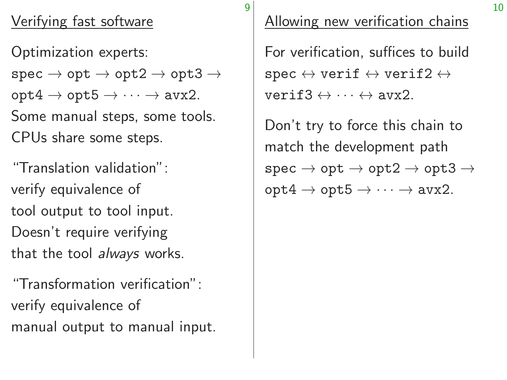#### Verifying fast software

"Translation validation": verify equivalence of tool output to tool input. Doesn't require verifying that the tool always works.

Optimization experts:  $spec \rightarrow opt \rightarrow opt2 \rightarrow opt3 \rightarrow$  $opt4 \rightarrow opt5 \rightarrow \cdots \rightarrow avx2.$ Some manual steps, some tools. CPUs share some steps.

For verification, suffices to build  $spec \leftrightarrow verif \leftrightarrow verif2 \leftrightarrow$  $verif3 \leftrightarrow \cdots \leftrightarrow avx2.$ 

Don't try to force this chain to match the development path  $spec \rightarrow opt \rightarrow opt2 \rightarrow opt3 \rightarrow$  $opt4 \rightarrow opt5 \rightarrow \cdots \rightarrow avx2.$ 

"Transformation verification": verify equivalence of manual output to manual input.

#### 10

- 
- 
- 

Allowing new verification chains